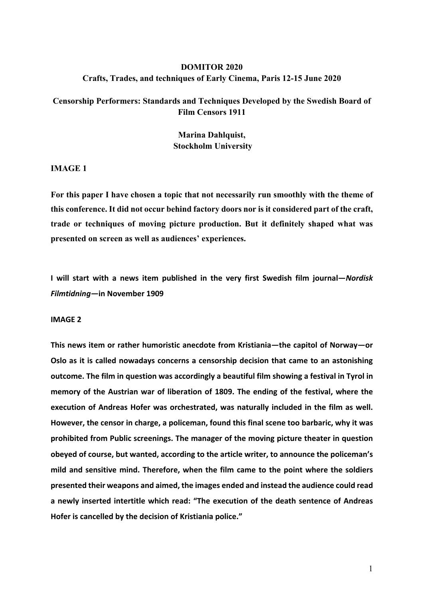# **DOMITOR 2020 Crafts, Trades, and techniques of Early Cinema, Paris 12-15 June 2020**

# **Censorship Performers: Standards and Techniques Developed by the Swedish Board of Film Censors 1911**

**Marina Dahlquist, Stockholm University**

**IMAGE 1**

**For this paper I have chosen a topic that not necessarily run smoothly with the theme of this conference. It did not occur behind factory doors nor is it considered part of the craft, trade or techniques of moving picture production. But it definitely shaped what was presented on screen as well as audiences' experiences.**

**I will start with a news item published in the very first Swedish film journal—***Nordisk Filmtidning—***in November 1909**

## **IMAGE 2**

**This news item or rather humoristic anecdote from Kristiania—the capitol of Norway—or Oslo as it is called nowadays concerns a censorship decision that came to an astonishing outcome. The film in question was accordingly a beautiful film showing a festival in Tyrol in memory of the Austrian war of liberation of 1809. The ending of the festival, where the execution of Andreas Hofer was orchestrated, was naturally included in the film as well. However, the censor in charge, a policeman, found this final scene too barbaric, why it was prohibited from Public screenings. The manager of the moving picture theater in question obeyed of course, but wanted, according to the article writer, to announce the policeman's mild and sensitive mind. Therefore, when the film came to the point where the soldiers presented their weapons and aimed, the images ended and instead the audience could read a newly inserted intertitle which read: "The execution of the death sentence of Andreas Hofer is cancelled by the decision of Kristiania police."**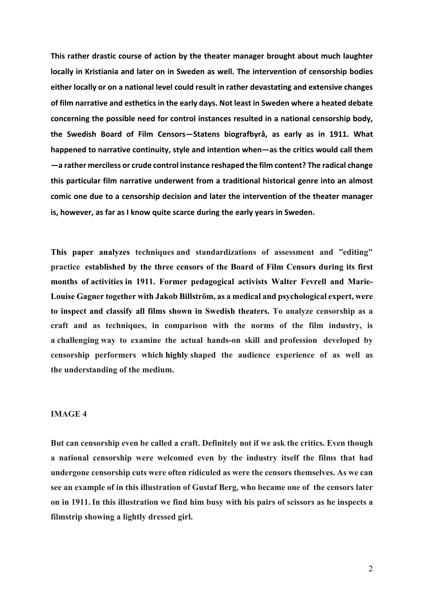**This rather drastic course of action by the theater manager brought about much laughter locally in Kristiania and later on in Sweden as well. The intervention of censorship bodies either locally or on a national level could result in rather devastating and extensive changes of film narrative and esthetics in the early days. Not least in Sweden where a heated debate concerning the possible need for control instances resulted in a national censorship body, the Swedish Board of Film Censors—Statens biografbyrå, as early as in 1911. What happened to narrative continuity, style and intention when—as the critics would call them —a rather merciless or crude control instance reshaped the film content? The radical change this particular film narrative underwent from a traditional historical genre into an almost comic one due to a censorship decision and later the intervention of the theater manager is, however, as far as I know quite scarce during the early years in Sweden.** 

**This paper analyzes techniques and standardizations of assessment and "editing" practice established by the three censors of the Board of Film Censors during its first months of activities in 1911. Former pedagogical activists Walter Fevrell and Marie-Louise Gagner together with Jakob Billström, as a medical and psychological expert, were to inspect and classify all films shown in Swedish theaters. To analyze censorship as a craft and as techniques, in comparison with the norms of the film industry, is a challenging way to examine the actual hands-on skill and profession developed by censorship performers which highly shaped the audience experience of as well as the understanding of the medium.**

## **IMAGE 4**

**But can censorship even be called a craft. Definitely not if we ask the critics. Even though a national censorship were welcomed even by the industry itself the films that had undergone censorship cuts were often ridiculed as were the censors themselves. As we can see an example of in this illustration of Gustaf Berg, who became one of the censors later on in 1911.In this illustration we find him busy with his pairs of scissors as he inspects a filmstrip showing a lightly dressed girl.**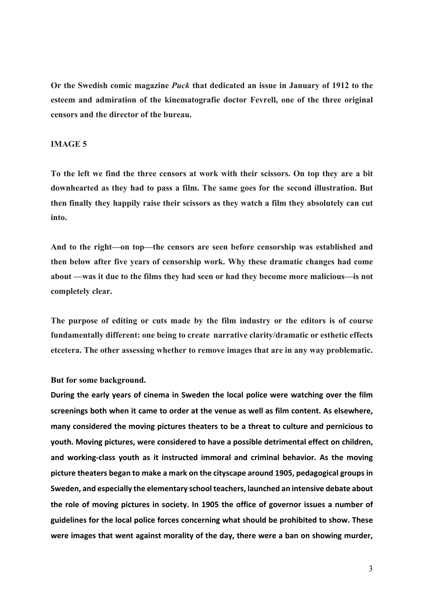**Or the Swedish comic magazine** *Puck* **that dedicated an issue in January of 1912 to the esteem and admiration of the kinematografie doctor Fevrell, one of the three original censors and the director of the bureau.**

## **IMAGE 5**

**To the left we find the three censors at work with their scissors. On top they are a bit downhearted as they had to pass a film. The same goes for the second illustration. But then finally they happily raise their scissors as they watch a film they absolutely can cut into.**

**And to the right—on top—the censors are seen before censorship was established and then below after five years of censorship work. Why these dramatic changes had come about —was it due to the films they had seen or had they become more malicious—is not completely clear.**

**The purpose of editing or cuts made by the film industry or the editors is of course fundamentally different: one being to create narrative clarity/dramatic or esthetic effects etcetera. The other assessing whether to remove images that are in any way problematic.** 

## **But for some background.**

**During the early years of cinema in Sweden the local police were watching over the film screenings both when it came to order at the venue as well as film content. As elsewhere, many considered the moving pictures theaters to be a threat to culture and pernicious to youth. Moving pictures, were considered to have a possible detrimental effect on children, and working-class youth as it instructed immoral and criminal behavior. As the moving picture theaters began to make a mark on the cityscape around 1905, pedagogical groups in Sweden, and especially the elementary school teachers, launched an intensive debate about the role of moving pictures in society. In 1905 the office of governor issues a number of guidelines for the local police forces concerning what should be prohibited to show. These were images that went against morality of the day, there were a ban on showing murder,**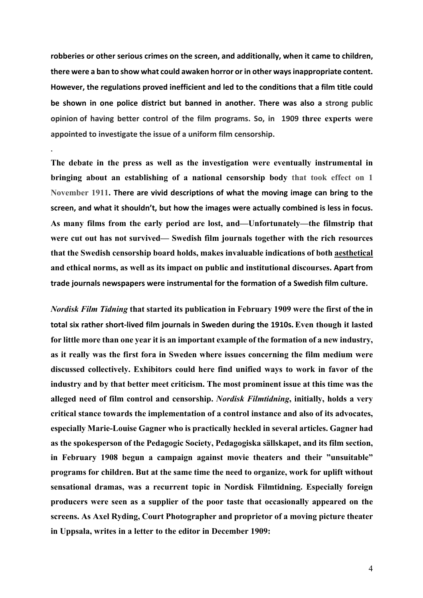**robberies or other serious crimes on the screen, and additionally, when it came to children, there were a ban to show what could awaken horror or in other ways inappropriate content. However, the regulations proved inefficient and led to the conditions that a film title could be shown in one police district but banned in another. There was also a strong public opinion of having better control of the film programs. So, in 1909 three experts were appointed to investigate the issue of a uniform film censorship.** 

**.** 

**The debate in the press as well as the investigation were eventually instrumental in bringing about an establishing of a national censorship body that took effect on 1 November 1911. There are vivid descriptions of what the moving image can bring to the screen, and what it shouldn't, but how the images were actually combined is less in focus. As many films from the early period are lost, and—Unfortunately—the filmstrip that were cut out has not survived— Swedish film journals together with the rich resources that the Swedish censorship board holds, makes invaluable indications of both aesthetical and ethical norms, as well as its impact on public and institutional discourses. Apart from trade journals newspapers were instrumental for the formation of a Swedish film culture.** 

*Nordisk Film Tidning* **that started its publication in February 1909 were the first of the in total six rather short-lived film journals in Sweden during the 1910s. Even though it lasted for little more than one year it is an important example of the formation of a new industry, as it really was the first fora in Sweden where issues concerning the film medium were discussed collectively. Exhibitors could here find unified ways to work in favor of the industry and by that better meet criticism. The most prominent issue at this time was the alleged need of film control and censorship.** *Nordisk Filmtidning***, initially, holds a very critical stance towards the implementation of a control instance and also of its advocates, especially Marie-Louise Gagner who is practically heckled in several articles. Gagner had as the spokesperson of the Pedagogic Society, Pedagogiska sällskapet, and its film section, in February 1908 begun a campaign against movie theaters and their "unsuitable" programs for children. But at the same time the need to organize, work for uplift without sensational dramas, was a recurrent topic in Nordisk Filmtidning. Especially foreign producers were seen as a supplier of the poor taste that occasionally appeared on the screens. As Axel Ryding, Court Photographer and proprietor of a moving picture theater in Uppsala, writes in a letter to the editor in December 1909:**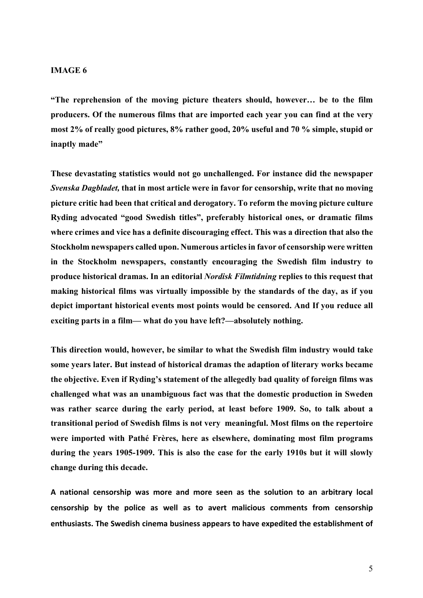#### **IMAGE 6**

**"The reprehension of the moving picture theaters should, however… be to the film producers. Of the numerous films that are imported each year you can find at the very most 2% of really good pictures, 8% rather good, 20% useful and 70 % simple, stupid or inaptly made"**

**These devastating statistics would not go unchallenged. For instance did the newspaper**  *Svenska Dagbladet,* **that in most article were in favor for censorship, write that no moving picture critic had been that critical and derogatory. To reform the moving picture culture Ryding advocated "good Swedish titles", preferably historical ones, or dramatic films where crimes and vice has a definite discouraging effect. This was a direction that also the Stockholm newspapers called upon. Numerous articles in favor of censorship were written in the Stockholm newspapers, constantly encouraging the Swedish film industry to produce historical dramas. In an editorial** *Nordisk Filmtidning* **replies to this request that making historical films was virtually impossible by the standards of the day, as if you depict important historical events most points would be censored. And If you reduce all exciting parts in a film— what do you have left?—absolutely nothing.**

**This direction would, however, be similar to what the Swedish film industry would take some years later. But instead of historical dramas the adaption of literary works became the objective. Even if Ryding's statement of the allegedly bad quality of foreign films was challenged what was an unambiguous fact was that the domestic production in Sweden was rather scarce during the early period, at least before 1909. So, to talk about a transitional period of Swedish films is not very meaningful. Most films on the repertoire were imported with Pathé Frères, here as elsewhere, dominating most film programs during the years 1905-1909. This is also the case for the early 1910s but it will slowly change during this decade.** 

**A national censorship was more and more seen as the solution to an arbitrary local censorship by the police as well as to avert malicious comments from censorship enthusiasts. The Swedish cinema business appears to have expedited the establishment of**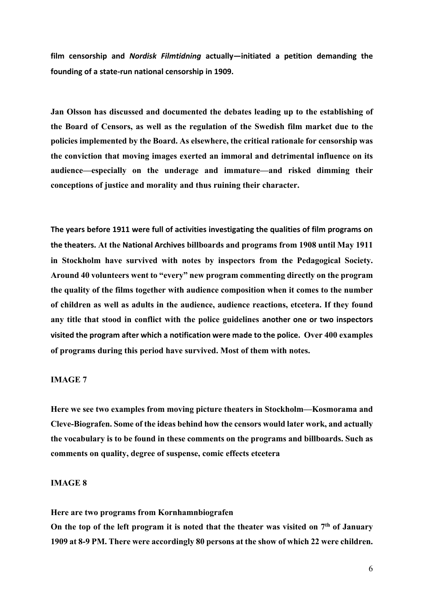**film censorship and** *Nordisk Filmtidning* **actually—initiated a petition demanding the founding of a state-run national censorship in 1909.** 

**Jan Olsson has discussed and documented the debates leading up to the establishing of the Board of Censors, as well as the regulation of the Swedish film market due to the policies implemented by the Board. As elsewhere, the critical rationale for censorship was the conviction that moving images exerted an immoral and detrimental influence on its audience—especially on the underage and immature—and risked dimming their conceptions of justice and morality and thus ruining their character.**

**The years before 1911 were full of activities investigating the qualities of film programs on the theaters. At the National Archives billboards and programs from 1908 until May 1911 in Stockholm have survived with notes by inspectors from the Pedagogical Society. Around 40 volunteers went to "every" new program commenting directly on the program the quality of the films together with audience composition when it comes to the number of children as well as adults in the audience, audience reactions, etcetera. If they found any title that stood in conflict with the police guidelines another one or two inspectors visited the program after which a notification were made to the police. Over 400 examples of programs during this period have survived. Most of them with notes.**

# **IMAGE 7**

**Here we see two examples from moving picture theaters in Stockholm—Kosmorama and Cleve-Biografen. Some of the ideas behind how the censors would later work, and actually the vocabulary is to be found in these comments on the programs and billboards. Such as comments on quality, degree of suspense, comic effects etcetera**

## **IMAGE 8**

**Here are two programs from Kornhamnbiografen** 

**On the top of the left program it is noted that the theater was visited on 7th of January 1909 at 8-9 PM. There were accordingly 80 persons at the show of which 22 were children.**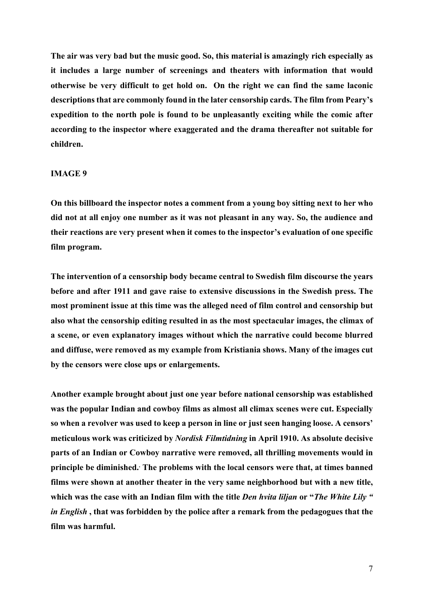**The air was very bad but the music good. So, this material is amazingly rich especially as it includes a large number of screenings and theaters with information that would otherwise be very difficult to get hold on. On the right we can find the same laconic descriptions that are commonly found in the later censorship cards. The film from Peary's expedition to the north pole is found to be unpleasantly exciting while the comic after according to the inspector where exaggerated and the drama thereafter not suitable for children.**

#### **IMAGE 9**

**On this billboard the inspector notes a comment from a young boy sitting next to her who did not at all enjoy one number as it was not pleasant in any way. So, the audience and their reactions are very present when it comes to the inspector's evaluation of one specific film program.**

**The intervention of a censorship body became central to Swedish film discourse the years before and after 1911 and gave raise to extensive discussions in the Swedish press. The most prominent issue at this time was the alleged need of film control and censorship but also what the censorship editing resulted in as the most spectacular images, the climax of a scene, or even explanatory images without which the narrative could become blurred and diffuse, were removed as my example from Kristiania shows. Many of the images cut by the censors were close ups or enlargements.**

**Another example brought about just one year before national censorship was established was the popular Indian and cowboy films as almost all climax scenes were cut. Especially so when a revolver was used to keep a person in line or just seen hanging loose. A censors' meticulous work was criticized by** *Nordisk Filmtidning* **in April 1910. As absolute decisive parts of an Indian or Cowboy narrative were removed, all thrilling movements would in principle be diminished.. The problems with the local censors were that, at times banned films were shown at another theater in the very same neighborhood but with a new title, which was the case with an Indian film with the title** *Den hvita liljan* **or "***The White Lily " in English* **, that was forbidden by the police after a remark from the pedagogues that the film was harmful.**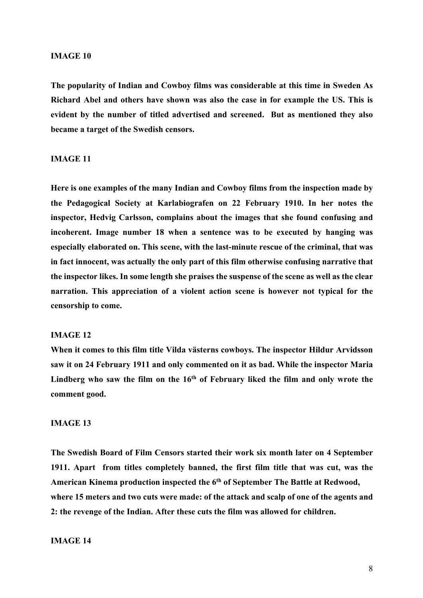### **IMAGE 10**

**The popularity of Indian and Cowboy films was considerable at this time in Sweden As Richard Abel and others have shown was also the case in for example the US. This is evident by the number of titled advertised and screened. But as mentioned they also became a target of the Swedish censors.**

### **IMAGE 11**

**Here is one examples of the many Indian and Cowboy films from the inspection made by the Pedagogical Society at Karlabiografen on 22 February 1910. In her notes the inspector, Hedvig Carlsson, complains about the images that she found confusing and incoherent. Image number 18 when a sentence was to be executed by hanging was especially elaborated on. This scene, with the last-minute rescue of the criminal, that was in fact innocent, was actually the only part of this film otherwise confusing narrative that the inspector likes. In some length she praises the suspense of the scene as well as the clear narration. This appreciation of a violent action scene is however not typical for the censorship to come.**

### **IMAGE 12**

**When it comes to this film title Vilda västerns cowboys. The inspector Hildur Arvidsson saw it on 24 February 1911 and only commented on it as bad. While the inspector Maria**  Lindberg who saw the film on the 16<sup>th</sup> of February liked the film and only wrote the **comment good.** 

## **IMAGE 13**

**The Swedish Board of Film Censors started their work six month later on 4 September 1911. Apart from titles completely banned, the first film title that was cut, was the American Kinema production inspected the 6th of September The Battle at Redwood, where 15 meters and two cuts were made: of the attack and scalp of one of the agents and 2: the revenge of the Indian. After these cuts the film was allowed for children.** 

## **IMAGE 14**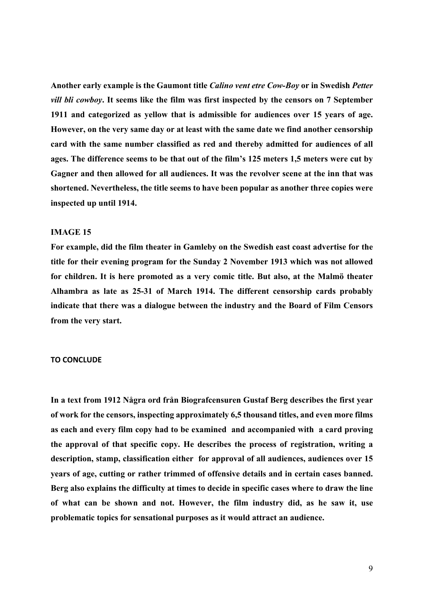**Another early example is the Gaumont title** *Calino vent etre Cow-Boy* **or in Swedish** *Petter vill bli cowboy***. It seems like the film was first inspected by the censors on 7 September 1911 and categorized as yellow that is admissible for audiences over 15 years of age. However, on the very same day or at least with the same date we find another censorship card with the same number classified as red and thereby admitted for audiences of all ages. The difference seems to be that out of the film's 125 meters 1,5 meters were cut by Gagner and then allowed for all audiences. It was the revolver scene at the inn that was shortened. Nevertheless, the title seems to have been popular as another three copies were inspected up until 1914.**

## **IMAGE 15**

**For example, did the film theater in Gamleby on the Swedish east coast advertise for the title for their evening program for the Sunday 2 November 1913 which was not allowed for children. It is here promoted as a very comic title. But also, at the Malmö theater Alhambra as late as 25-31 of March 1914. The different censorship cards probably indicate that there was a dialogue between the industry and the Board of Film Censors from the very start.**

#### **TO CONCLUDE**

**In a text from 1912 Några ord från Biografcensuren Gustaf Berg describes the first year of work for the censors, inspecting approximately 6,5 thousand titles, and even more films as each and every film copy had to be examined and accompanied with a card proving the approval of that specific copy. He describes the process of registration, writing a description, stamp, classification either for approval of all audiences, audiences over 15 years of age, cutting or rather trimmed of offensive details and in certain cases banned. Berg also explains the difficulty at times to decide in specific cases where to draw the line of what can be shown and not. However, the film industry did, as he saw it, use problematic topics for sensational purposes as it would attract an audience.**